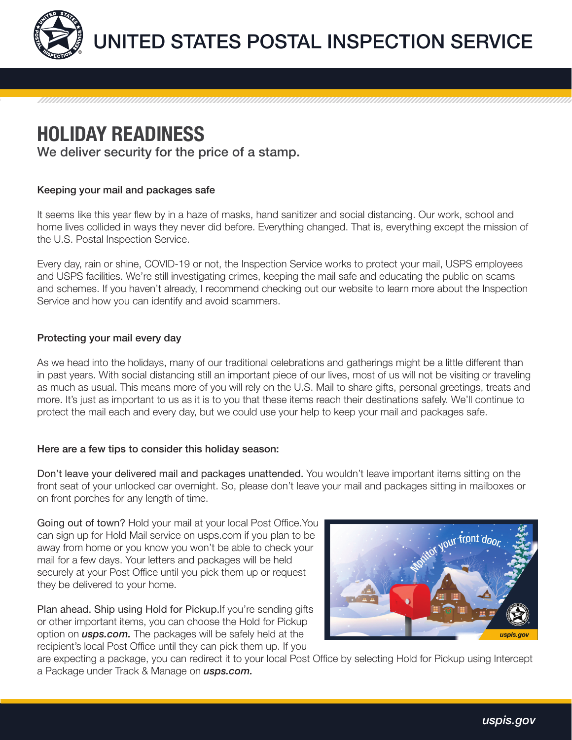

## HOLIDAY READINESS

We deliver security for the price of a stamp.

## Keeping your mail and packages safe

It seems like this year flew by in a haze of masks, hand sanitizer and social distancing. Our work, school and home lives collided in ways they never did before. Everything changed. That is, everything except the mission of the U.S. Postal Inspection Service.

Every day, rain or shine, COVID-19 or not, the Inspection Service works to protect your mail, USPS employees and USPS facilities. We're still investigating crimes, keeping the mail safe and educating the public on scams and schemes. If you haven't already, I recommend checking out our website to learn more about the Inspection Service and how you can identify and avoid scammers.

## Protecting your mail every day

As we head into the holidays, many of our traditional celebrations and gatherings might be a little different than in past years. With social distancing still an important piece of our lives, most of us will not be visiting or traveling as much as usual. This means more of you will rely on the U.S. Mail to share gifts, personal greetings, treats and more. It's just as important to us as it is to you that these items reach their destinations safely. We'll continue to protect the mail each and every day, but we could use your help to keep your mail and packages safe.

## Here are a few tips to consider this holiday season:

Don't leave your delivered mail and packages unattended. You wouldn't leave important items sitting on the front seat of your unlocked car overnight. So, please don't leave your mail and packages sitting in mailboxes or on front porches for any length of time.

Going out of town? Hold your mail at your local Post Office.You can sign up for Hold Mail service on usps.com if you plan to be away from home or you know you won't be able to check your mail for a few days. Your letters and packages will be held securely at your Post Office until you pick them up or request they be delivered to your home.

Plan ahead. Ship using Hold for Pickup. If you're sending gifts or other important items, you can choose the Hold for Pickup option on *usps.com.* The packages will be safely held at the recipient's local Post Office until they can pick them up. If you



are expecting a package, you can redirect it to your local Post Office by selecting Hold for Pickup using Intercept a Package under Track & Manage on *usps.com.*